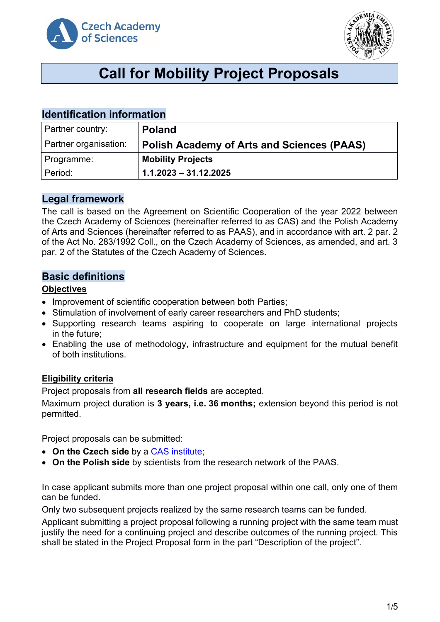



# **Call for Mobility Project Proposals**

# **Identification information**

| Partner country:      | <b>Poland</b>                                     |
|-----------------------|---------------------------------------------------|
| Partner organisation: | <b>Polish Academy of Arts and Sciences (PAAS)</b> |
| Programme:            | <b>Mobility Projects</b>                          |
| Period:               | $1.1.2023 - 31.12.2025$                           |

## **Legal framework**

The call is based on the Agreement on Scientific Cooperation of the year 2022 between the Czech Academy of Sciences (hereinafter referred to as CAS) and the Polish Academy of Arts and Sciences (hereinafter referred to as PAAS), and in accordance with art. 2 par. 2 of the Act No. 283/1992 Coll., on the Czech Academy of Sciences, as amended, and art. 3 par. 2 of the Statutes of the Czech Academy of Sciences.

# **Basic definitions**

#### **Objectives**

- Improvement of scientific cooperation between both Parties;
- Stimulation of involvement of early career researchers and PhD students;
- Supporting research teams aspiring to cooperate on large international projects in the future;
- Enabling the use of methodology, infrastructure and equipment for the mutual benefit of both institutions.

#### **Eligibility criteria**

Project proposals from **all research fields** are accepted.

Maximum project duration is **3 years, i.e. 36 months;** extension beyond this period is not permitted.

Project proposals can be submitted:

- **On the Czech side** by a [CAS institute;](http://www.avcr.cz/en/about-us/cas-structure/research-institutes/)
- **On the Polish side** by scientists from the research network of the PAAS.

In case applicant submits more than one project proposal within one call, only one of them can be funded.

Only two subsequent projects realized by the same research teams can be funded.

Applicant submitting a project proposal following a running project with the same team must justify the need for a continuing project and describe outcomes of the running project. This shall be stated in the Project Proposal form in the part "Description of the project".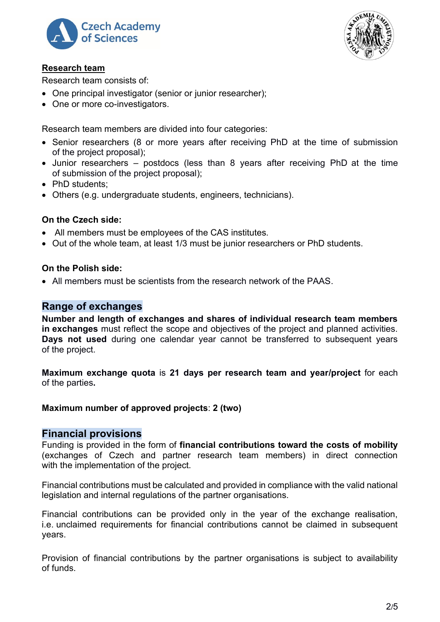



#### **Research team**

Research team consists of:

- One principal investigator (senior or junior researcher):
- One or more co-investigators.

Research team members are divided into four categories:

- Senior researchers (8 or more years after receiving PhD at the time of submission of the project proposal);
- Junior researchers postdocs (less than 8 years after receiving PhD at the time of submission of the project proposal);
- PhD students:
- Others (e.g. undergraduate students, engineers, technicians).

#### **On the Czech side:**

- All members must be employees of the CAS institutes.
- Out of the whole team, at least 1/3 must be junior researchers or PhD students.

#### **On the Polish side:**

• All members must be scientists from the research network of the PAAS.

## **Range of exchanges**

**Number and length of exchanges and shares of individual research team members in exchanges** must reflect the scope and objectives of the project and planned activities. **Days not used** during one calendar year cannot be transferred to subsequent years of the project.

**Maximum exchange quota** is **21 days per research team and year/project** for each of the parties**.**

#### **Maximum number of approved projects**: **2 (two)**

#### **Financial provisions**

Funding is provided in the form of **financial contributions toward the costs of mobility** (exchanges of Czech and partner research team members) in direct connection with the implementation of the project.

Financial contributions must be calculated and provided in compliance with the valid national legislation and internal regulations of the partner organisations.

Financial contributions can be provided only in the year of the exchange realisation, i.e. unclaimed requirements for financial contributions cannot be claimed in subsequent years.

Provision of financial contributions by the partner organisations is subject to availability of funds.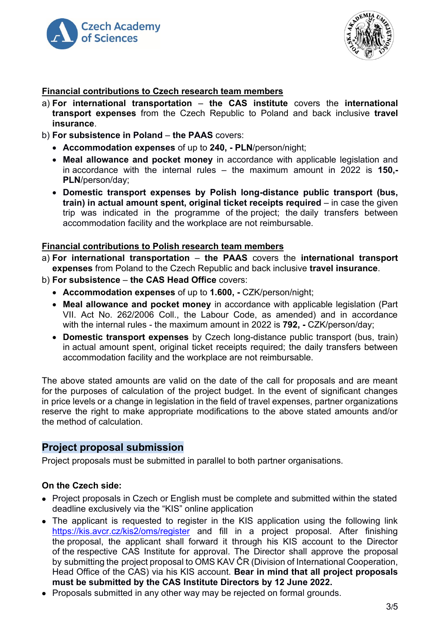



#### **Financial contributions to Czech research team members**

- a) **For international transportation the CAS institute** covers the **international transport expenses** from the Czech Republic to Poland and back inclusive **travel insurance**.
- b) **For subsistence in Poland the PAAS** covers:
	- **Accommodation expenses** of up to **240, - PLN**/person/night;
	- **Meal allowance and pocket money** in accordance with applicable legislation and in accordance with the internal rules – the maximum amount in 2022 is **150,- PLN**/person/day;
	- **Domestic transport expenses by Polish long-distance public transport (bus, train) in actual amount spent, original ticket receipts required** – in case the given trip was indicated in the programme of the project; the daily transfers between accommodation facility and the workplace are not reimbursable.

#### **Financial contributions to Polish research team members**

- a) **For international transportation the PAAS** covers the **international transport expenses** from Poland to the Czech Republic and back inclusive **travel insurance**.
- b) **For subsistence the CAS Head Office** covers:
	- **Accommodation expenses** of up to **1.600, -** CZK/person/night;
	- **Meal allowance and pocket money** in accordance with applicable legislation (Part VII. Act No. 262/2006 Coll., the Labour Code, as amended) and in accordance with the internal rules - the maximum amount in 2022 is **792, -** CZK/person/day;
	- **Domestic transport expenses** by Czech long-distance public transport (bus, train) in actual amount spent, original ticket receipts required; the daily transfers between accommodation facility and the workplace are not reimbursable.

The above stated amounts are valid on the date of the call for proposals and are meant for the purposes of calculation of the project budget. In the event of significant changes in price levels or a change in legislation in the field of travel expenses, partner organizations reserve the right to make appropriate modifications to the above stated amounts and/or the method of calculation.

#### **Project proposal submission**

Project proposals must be submitted in parallel to both partner organisations.

#### **On the Czech side:**

- Project proposals in Czech or English must be complete and submitted within the stated deadline exclusively via the "KIS" online application
- The applicant is requested to register in the KIS application using the following link <https://kis.avcr.cz/kis2/oms/register> and fill in a project proposal. After finishing the proposal, the applicant shall forward it through his KIS account to the Director of the respective CAS Institute for approval. The Director shall approve the proposal by submitting the project proposal to OMS KAV ČR (Division of International Cooperation, Head Office of the CAS) via his KIS account. **Bear in mind that all project proposals must be submitted by the CAS Institute Directors by 12 June 2022.**
- Proposals submitted in any other way may be rejected on formal grounds.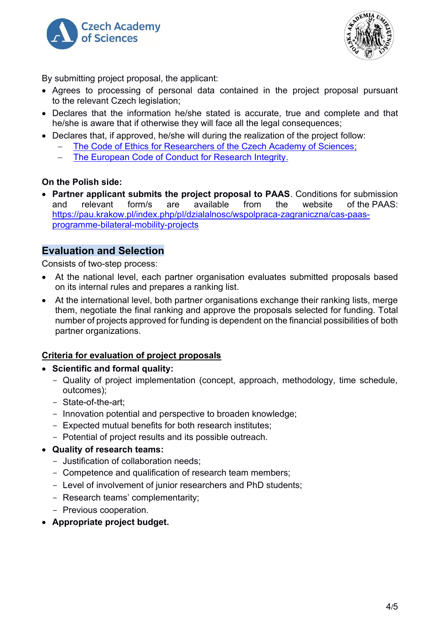



By submitting project proposal, the applicant:

- Agrees to processing of personal data contained in the project proposal pursuant to the relevant Czech legislation;
- Declares that the information he/she stated is accurate, true and complete and that he/she is aware that if otherwise they will face all the legal consequences;
- Declares that, if approved, he/she will during the realization of the project follow:
	- The Code of Ethics for Researchers of [the Czech Academy of Sciences;](https://www.avcr.cz/en/about-us/legal-regulations/code-of-ethics-for-researchers-of-the-czech-academy-of-sciences/)
	- [The European Code of Conduct for Research Integrity.](http://www.allea.org/wp-content/uploads/2017/05/ALLEA-European-Code-of-Conduct-for-Research-Integrity-2017.pdf)

#### **On the Polish side:**

• **Partner applicant submits the project proposal to PAAS**. Conditions for submission and relevant form/s are available from the website of the PAAS: [https://pau.krakow.pl/index.php/pl/dzialalnosc/wspolpraca-zagraniczna/cas-paas](https://pau.krakow.pl/index.php/pl/dzialalnosc/wspolpraca-zagraniczna/cas-paas-programme-bilateral-mobility-projects)[programme-bilateral-mobility-projects](https://pau.krakow.pl/index.php/pl/dzialalnosc/wspolpraca-zagraniczna/cas-paas-programme-bilateral-mobility-projects)

## **Evaluation and Selection**

Consists of two-step process:

- At the national level, each partner organisation evaluates submitted proposals based on its internal rules and prepares a ranking list.
- At the international level, both partner organisations exchange their ranking lists, merge them, negotiate the final ranking and approve the proposals selected for funding. Total number of projects approved for funding is dependent on the financial possibilities of both partner organizations.

#### **Criteria for evaluation of project proposals**

- **Scientific and formal quality:**
	- Quality of project implementation (concept, approach, methodology, time schedule, outcomes);
	- State-of-the-art;
	- Innovation potential and perspective to broaden knowledge;
	- Expected mutual benefits for both research institutes;
	- Potential of project results and its possible outreach.
- **Quality of research teams:**
	- Justification of collaboration needs;
	- Competence and qualification of research team members;
	- Level of involvement of junior researchers and PhD students;
	- Research teams' complementarity;
	- Previous cooperation.
- **Appropriate project budget.**